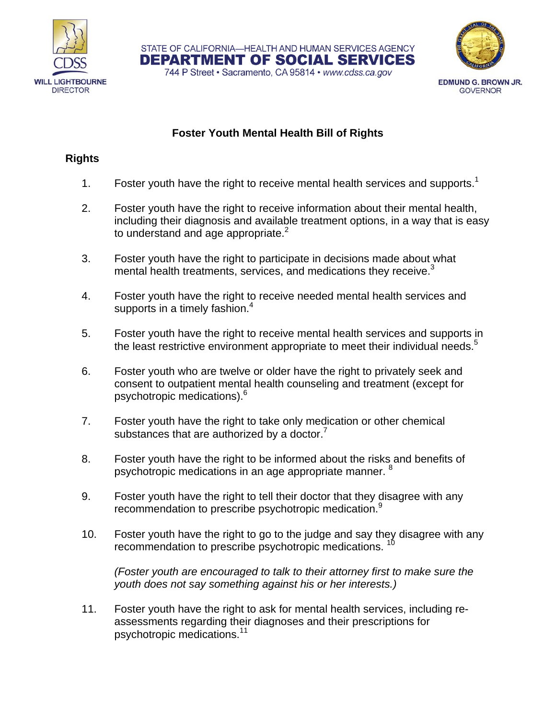



## **Foster Youth Mental Health Bill of Rights**

STATE OF CALIFORNIA-HEALTH AND HUMAN SERVICES AGENCY DEPARTMENT OF SOCIAL SERVICES 744 P Street · Sacramento, CA 95814 · www.cdss.ca.gov

#### **Rights**

- 1. Foster youth have the right to receive mental health services and supports.<sup>1</sup>
- 2. Foster youth have the right to receive information about their mental health, including their diagnosis and available treatment options, in a way that is easy to understand and age appropriate. $2$
- 3. Foster youth have the right to participate in decisions made about what mental health treatments, services, and medications they receive.<sup>3</sup>
- 4. Foster youth have the right to receive needed mental health services and supports in a timely fashion. $4$
- 5. Foster youth have the right to receive mental health services and supports in the least restrictive environment appropriate to meet their individual needs.<sup>5</sup>
- 6. Foster youth who are twelve or older have the right to privately seek and consent to outpatient mental health counseling and treatment (except for psychotropic medications).<sup>6</sup>
- 7. Foster youth have the right to take only medication or other chemical substances that are authorized by a doctor. $7$
- 8. Foster youth have the right to be informed about the risks and benefits of psychotropic medications in an age appropriate manner. <sup>8</sup>
- 9. Foster youth have the right to tell their doctor that they disagree with any recommendation to prescribe psychotropic medication.<sup>9</sup>
- 10. Foster youth have the right to go to the judge and say they disagree with any recommendation to prescribe psychotropic medications.<sup>10</sup>

*(Foster youth are encouraged to talk to their attorney first to make sure the youth does not say something against his or her interests.)* 

11. Foster youth have the right to ask for mental health services, including reassessments regarding their diagnoses and their prescriptions for psychotropic medications.11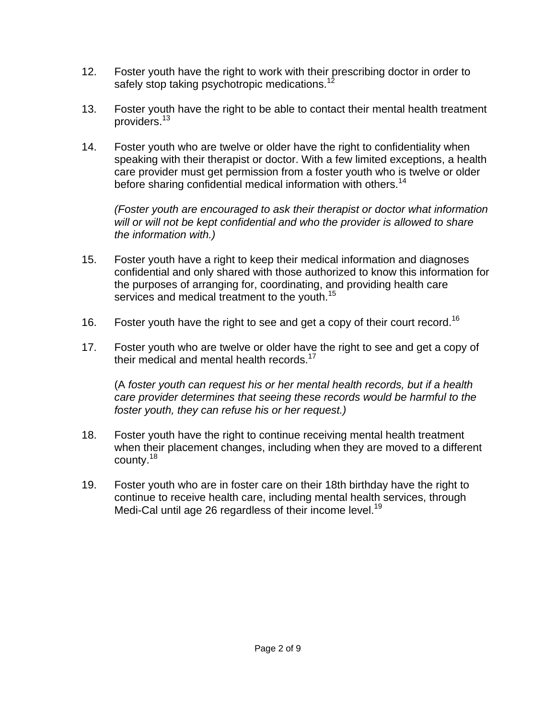- 12. Foster youth have the right to work with their prescribing doctor in order to safely stop taking psychotropic medications.<sup>12</sup>
- 13. Foster youth have the right to be able to contact their mental health treatment providers.13
- 14. Foster youth who are twelve or older have the right to confidentiality when speaking with their therapist or doctor. With a few limited exceptions, a health care provider must get permission from a foster youth who is twelve or older before sharing confidential medical information with others.<sup>14</sup>

*(Foster youth are encouraged to ask their therapist or doctor what information will or will not be kept confidential and who the provider is allowed to share the information with.)* 

- 15. Foster youth have a right to keep their medical information and diagnoses confidential and only shared with those authorized to know this information for the purposes of arranging for, coordinating, and providing health care services and medical treatment to the youth.<sup>15</sup>
- 16. Foster youth have the right to see and get a copy of their court record.<sup>16</sup>
- 17. Foster youth who are twelve or older have the right to see and get a copy of their medical and mental health records. $17$

(A *foster youth can request his or her mental health records, but if a health care provider determines that seeing these records would be harmful to the foster youth, they can refuse his or her request.)* 

- 18. Foster youth have the right to continue receiving mental health treatment when their placement changes, including when they are moved to a different county.18
- 19. Foster youth who are in foster care on their 18th birthday have the right to continue to receive health care, including mental health services, through Medi-Cal until age 26 regardless of their income level.<sup>19</sup>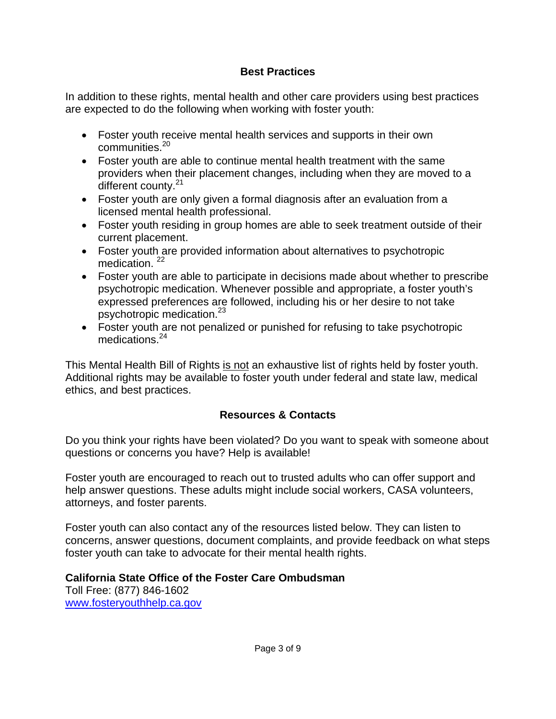## **Best Practices**

In addition to these rights, mental health and other care providers using best practices are expected to do the following when working with foster youth:

- Foster youth receive mental health services and supports in their own communities.20
- Foster youth are able to continue mental health treatment with the same providers when their placement changes, including when they are moved to a different county.<sup>21</sup>
- Foster youth are only given a formal diagnosis after an evaluation from a licensed mental health professional.
- Foster youth residing in group homes are able to seek treatment outside of their current placement.
- Foster youth are provided information about alternatives to psychotropic medication.<sup>22</sup>
- Foster youth are able to participate in decisions made about whether to prescribe psychotropic medication. Whenever possible and appropriate, a foster youth's expressed preferences are followed, including his or her desire to not take psychotropic medication.<sup>23</sup>
- Foster youth are not penalized or punished for refusing to take psychotropic medications.<sup>24</sup>

This Mental Health Bill of Rights is not an exhaustive list of rights held by foster youth. Additional rights may be available to foster youth under federal and state law, medical ethics, and best practices.

# **Resources & Contacts**

Do you think your rights have been violated? Do you want to speak with someone about questions or concerns you have? Help is available!

Foster youth are encouraged to reach out to trusted adults who can offer support and help answer questions. These adults might include social workers, CASA volunteers, attorneys, and foster parents.

Foster youth can also contact any of the resources listed below. They can listen to concerns, answer questions, document complaints, and provide feedback on what steps foster youth can take to advocate for their mental health rights.

# **California State Office of the Foster Care Ombudsman**

Toll Free: (877) 846-1602 www.fosteryouthhelp.ca.gov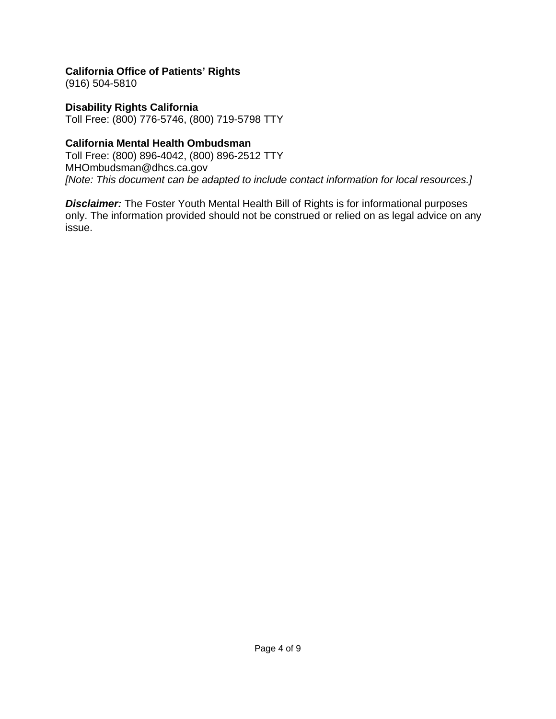**California Office of Patients' Rights**  (916) 504-5810

**Disability Rights California**  Toll Free: (800) 776-5746, (800) 719-5798 TTY

### **California Mental Health Ombudsman**

Toll Free: (800) 896-4042, (800) 896-2512 TTY MHOmbudsman@dhcs.ca.gov *[Note: This document can be adapted to include contact information for local resources.]* 

*Disclaimer:* The Foster Youth Mental Health Bill of Rights is for informational purposes only. The information provided should not be construed or relied on as legal advice on any issue.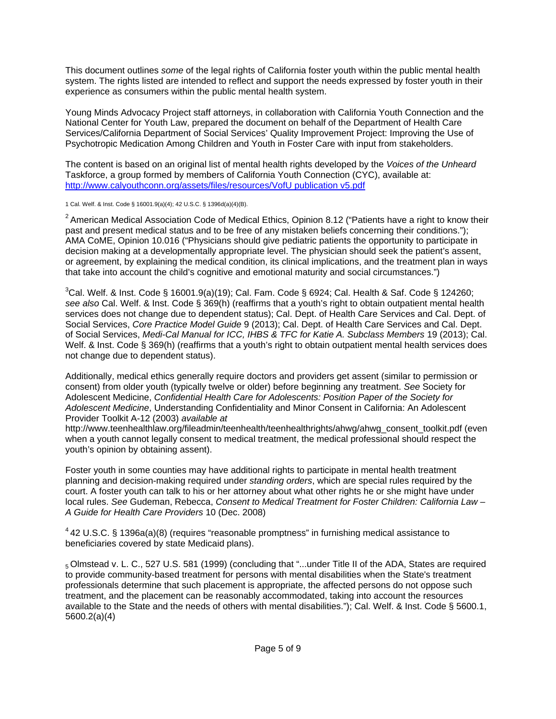This document outlines *some* of the legal rights of California foster youth within the public mental health system. The rights listed are intended to reflect and support the needs expressed by foster youth in their experience as consumers within the public mental health system.

Young Minds Advocacy Project staff attorneys, in collaboration with California Youth Connection and the National Center for Youth Law, prepared the document on behalf of the Department of Health Care Services/California Department of Social Services' Quality Improvement Project: Improving the Use of Psychotropic Medication Among Children and Youth in Foster Care with input from stakeholders.

The content is based on an original list of mental health rights developed by the *Voices of the Unheard*  Taskforce, a group formed by members of California Youth Connection (CYC), available at: http://www.calyouthconn.org/assets/files/resources/VofU publication v5.pdf

1 Cal. Welf. & Inst. Code § 16001.9(a)(4); 42 U.S.C. § 1396d(a)(4)(B).

 $2$  American Medical Association Code of Medical Ethics, Opinion 8.12 ("Patients have a right to know their past and present medical status and to be free of any mistaken beliefs concerning their conditions."); AMA CoME, Opinion 10.016 ("Physicians should give pediatric patients the opportunity to participate in decision making at a developmentally appropriate level. The physician should seek the patient's assent, or agreement, by explaining the medical condition, its clinical implications, and the treatment plan in ways that take into account the child's cognitive and emotional maturity and social circumstances.")

 ${}^{3}$ Cal. Welf. & Inst. Code § 16001.9(a)(19); Cal. Fam. Code § 6924; Cal. Health & Saf. Code § 124260; *see also* Cal. Welf. & Inst. Code § 369(h) (reaffirms that a youth's right to obtain outpatient mental health services does not change due to dependent status); Cal. Dept. of Health Care Services and Cal. Dept. of Social Services, *Core Practice Model Guide* 9 (2013); Cal. Dept. of Health Care Services and Cal. Dept. of Social Services, *Medi-Cal Manual for ICC, IHBS & TFC for Katie A. Subclass Members* 19 (2013); Cal. Welf. & Inst. Code § 369(h) (reaffirms that a youth's right to obtain outpatient mental health services does not change due to dependent status).

Additionally, medical ethics generally require doctors and providers get assent (similar to permission or consent) from older youth (typically twelve or older) before beginning any treatment. *See* Society for Adolescent Medicine, *Confidential Health Care for Adolescents: Position Paper of the Society for Adolescent Medicine*, Understanding Confidentiality and Minor Consent in California: An Adolescent Provider Toolkit A-12 (2003) *available at* 

http://www.teenhealthlaw.org/fileadmin/teenhealth/teenhealthrights/ahwg/ahwg\_consent\_toolkit.pdf (even when a youth cannot legally consent to medical treatment, the medical professional should respect the youth's opinion by obtaining assent).

Foster youth in some counties may have additional rights to participate in mental health treatment planning and decision-making required under *standing orders*, which are special rules required by the court. A foster youth can talk to his or her attorney about what other rights he or she might have under local rules. *See* Gudeman, Rebecca, *Consent to Medical Treatment for Foster Children: California Law – A Guide for Health Care Providers* 10 (Dec. 2008)

<sup>4</sup> 42 U.S.C. § 1396a(a)(8) (requires "reasonable promptness" in furnishing medical assistance to beneficiaries covered by state Medicaid plans).

5 Olmstead v. L. C., 527 U.S. 581 (1999) (concluding that "...under Title II of the ADA, States are required to provide community-based treatment for persons with mental disabilities when the State's treatment professionals determine that such placement is appropriate, the affected persons do not oppose such treatment, and the placement can be reasonably accommodated, taking into account the resources available to the State and the needs of others with mental disabilities."); Cal. Welf. & Inst. Code § 5600.1, 5600.2(a)(4)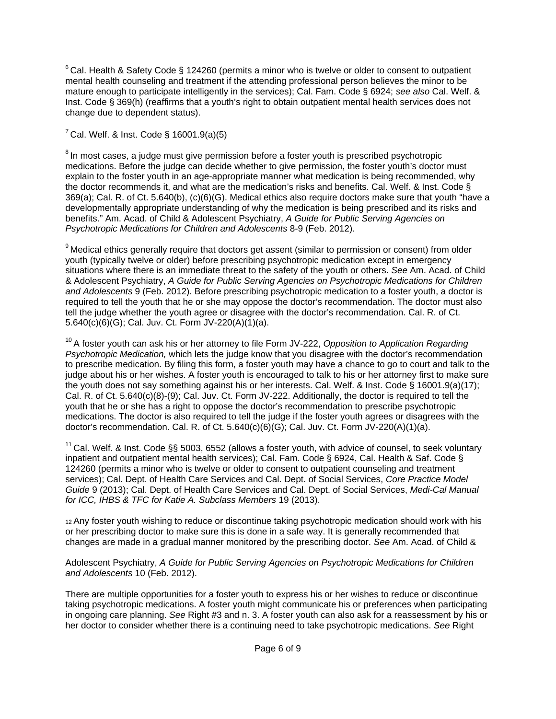$6$  Cal. Health & Safety Code § 124260 (permits a minor who is twelve or older to consent to outpatient mental health counseling and treatment if the attending professional person believes the minor to be mature enough to participate intelligently in the services); Cal. Fam. Code § 6924; *see also* Cal. Welf. & Inst. Code § 369(h) (reaffirms that a youth's right to obtain outpatient mental health services does not change due to dependent status).

 $7$  Cal. Welf. & Inst. Code § 16001.9(a)(5)

<sup>8</sup> In most cases, a judge must give permission before a foster youth is prescribed psychotropic medications. Before the judge can decide whether to give permission, the foster youth's doctor must explain to the foster youth in an age-appropriate manner what medication is being recommended, why the doctor recommends it, and what are the medication's risks and benefits. Cal. Welf. & Inst. Code § 369(a); Cal. R. of Ct. 5.640(b), (c)(6)(G). Medical ethics also require doctors make sure that youth "have a developmentally appropriate understanding of why the medication is being prescribed and its risks and benefits." Am. Acad. of Child & Adolescent Psychiatry, *A Guide for Public Serving Agencies on Psychotropic Medications for Children and Adolescents* 8-9 (Feb. 2012).

<sup>9</sup> Medical ethics generally require that doctors get assent (similar to permission or consent) from older youth (typically twelve or older) before prescribing psychotropic medication except in emergency situations where there is an immediate threat to the safety of the youth or others. *See* Am. Acad. of Child & Adolescent Psychiatry, *A Guide for Public Serving Agencies on Psychotropic Medications for Children and Adolescents* 9 (Feb. 2012). Before prescribing psychotropic medication to a foster youth, a doctor is required to tell the youth that he or she may oppose the doctor's recommendation. The doctor must also tell the judge whether the youth agree or disagree with the doctor's recommendation. Cal. R. of Ct. 5.640(c)(6)(G); Cal. Juv. Ct. Form JV-220(A)(1)(a).

10 A foster youth can ask his or her attorney to file Form JV-222, *Opposition to Application Regarding Psychotropic Medication,* which lets the judge know that you disagree with the doctor's recommendation to prescribe medication. By filing this form, a foster youth may have a chance to go to court and talk to the judge about his or her wishes. A foster youth is encouraged to talk to his or her attorney first to make sure the youth does not say something against his or her interests. Cal. Welf. & Inst. Code § 16001.9(a)(17); Cal. R. of Ct. 5.640(c)(8)-(9); Cal. Juv. Ct. Form JV-222. Additionally, the doctor is required to tell the youth that he or she has a right to oppose the doctor's recommendation to prescribe psychotropic medications. The doctor is also required to tell the judge if the foster youth agrees or disagrees with the doctor's recommendation. Cal. R. of Ct. 5.640(c)(6)(G); Cal. Juv. Ct. Form JV-220(A)(1)(a).

 $11$  Cal. Welf. & Inst. Code §§ 5003, 6552 (allows a foster youth, with advice of counsel, to seek voluntary inpatient and outpatient mental health services); Cal. Fam. Code § 6924, Cal. Health & Saf. Code § 124260 (permits a minor who is twelve or older to consent to outpatient counseling and treatment services); Cal. Dept. of Health Care Services and Cal. Dept. of Social Services, *Core Practice Model Guide* 9 (2013); Cal. Dept. of Health Care Services and Cal. Dept. of Social Services, *Medi-Cal Manual for ICC, IHBS & TFC for Katie A. Subclass Members* 19 (2013).

12 Any foster youth wishing to reduce or discontinue taking psychotropic medication should work with his or her prescribing doctor to make sure this is done in a safe way. It is generally recommended that changes are made in a gradual manner monitored by the prescribing doctor. *See* Am. Acad. of Child &

Adolescent Psychiatry, *A Guide for Public Serving Agencies on Psychotropic Medications for Children and Adolescents* 10 (Feb. 2012).

There are multiple opportunities for a foster youth to express his or her wishes to reduce or discontinue taking psychotropic medications. A foster youth might communicate his or preferences when participating in ongoing care planning. *See* Right #3 and n. 3. A foster youth can also ask for a reassessment by his or her doctor to consider whether there is a continuing need to take psychotropic medications. *See* Right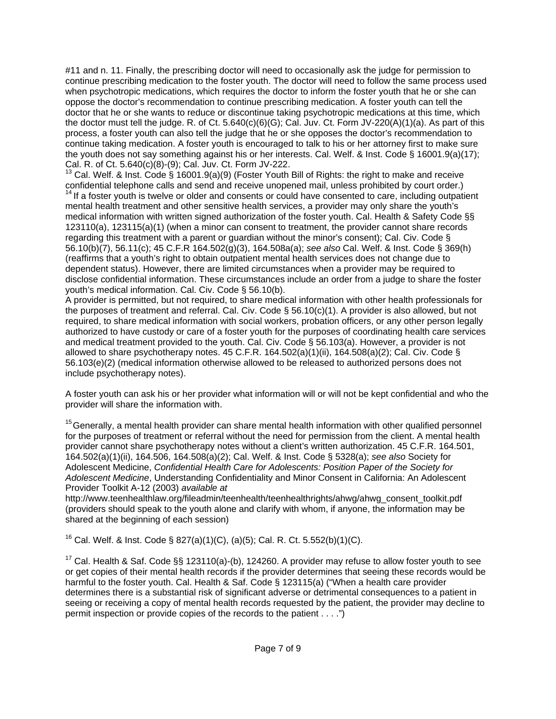#11 and n. 11. Finally, the prescribing doctor will need to occasionally ask the judge for permission to continue prescribing medication to the foster youth. The doctor will need to follow the same process used when psychotropic medications, which requires the doctor to inform the foster youth that he or she can oppose the doctor's recommendation to continue prescribing medication. A foster youth can tell the doctor that he or she wants to reduce or discontinue taking psychotropic medications at this time, which the doctor must tell the judge. R. of Ct. 5.640(c)(6)(G); Cal. Juv. Ct. Form JV-220(A)(1)(a). As part of this process, a foster youth can also tell the judge that he or she opposes the doctor's recommendation to continue taking medication. A foster youth is encouraged to talk to his or her attorney first to make sure the youth does not say something against his or her interests. Cal. Welf. & Inst. Code § 16001.9(a)(17); Cal. R. of Ct. 5.640(c)(8)-(9); Cal. Juv. Ct. Form JV-222.

<sup>13</sup> Cal. Welf. & Inst. Code § 16001.9(a)(9) (Foster Youth Bill of Rights: the right to make and receive confidential telephone calls and send and receive unopened mail, unless prohibited by court order.)

 $14$  If a foster youth is twelve or older and consents or could have consented to care, including outpatient mental health treatment and other sensitive health services, a provider may only share the youth's medical information with written signed authorization of the foster youth. Cal. Health & Safety Code §§ 123110(a), 123115(a)(1) (when a minor can consent to treatment, the provider cannot share records regarding this treatment with a parent or guardian without the minor's consent); Cal. Civ. Code § 56.10(b)(7), 56.11(c); 45 C.F.R 164.502(g)(3), 164.508a(a); *see also* Cal. Welf. & Inst. Code § 369(h) (reaffirms that a youth's right to obtain outpatient mental health services does not change due to dependent status). However, there are limited circumstances when a provider may be required to disclose confidential information. These circumstances include an order from a judge to share the foster youth's medical information. Cal. Civ. Code § 56.10(b).

A provider is permitted, but not required, to share medical information with other health professionals for the purposes of treatment and referral. Cal. Civ. Code § 56.10(c)(1). A provider is also allowed, but not required, to share medical information with social workers, probation officers, or any other person legally authorized to have custody or care of a foster youth for the purposes of coordinating health care services and medical treatment provided to the youth. Cal. Civ. Code § 56.103(a). However, a provider is not allowed to share psychotherapy notes. 45 C.F.R. 164.502(a)(1)(ii), 164.508(a)(2); Cal. Civ. Code § 56.103(e)(2) (medical information otherwise allowed to be released to authorized persons does not include psychotherapy notes).

A foster youth can ask his or her provider what information will or will not be kept confidential and who the provider will share the information with.

<sup>15</sup> Generally, a mental health provider can share mental health information with other qualified personnel for the purposes of treatment or referral without the need for permission from the client. A mental health provider cannot share psychotherapy notes without a client's written authorization. 45 C.F.R. 164.501, 164.502(a)(1)(ii), 164.506, 164.508(a)(2); Cal. Welf. & Inst. Code § 5328(a); *see also* Society for Adolescent Medicine, *Confidential Health Care for Adolescents: Position Paper of the Society for Adolescent Medicine*, Understanding Confidentiality and Minor Consent in California: An Adolescent Provider Toolkit A-12 (2003) *available at* 

http://www.teenhealthlaw.org/fileadmin/teenhealth/teenhealthrights/ahwg/ahwg\_consent\_toolkit.pdf (providers should speak to the youth alone and clarify with whom, if anyone, the information may be shared at the beginning of each session)

<sup>16</sup> Cal. Welf. & Inst. Code § 827(a)(1)(C), (a)(5); Cal. R. Ct. 5.552(b)(1)(C).

<sup>17</sup> Cal. Health & Saf. Code §§ 123110(a)-(b), 124260. A provider may refuse to allow foster youth to see or get copies of their mental health records if the provider determines that seeing these records would be harmful to the foster youth. Cal. Health & Saf. Code § 123115(a) ("When a health care provider determines there is a substantial risk of significant adverse or detrimental consequences to a patient in seeing or receiving a copy of mental health records requested by the patient, the provider may decline to permit inspection or provide copies of the records to the patient . . . .")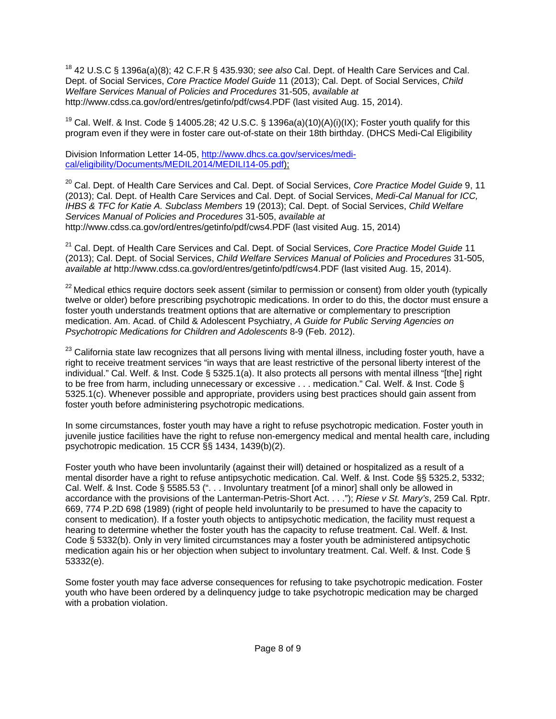18 42 U.S.C § 1396a(a)(8); 42 C.F.R § 435.930; *see also* Cal. Dept. of Health Care Services and Cal. Dept. of Social Services, *Core Practice Model Guide* 11 (2013); Cal. Dept. of Social Services, *Child Welfare Services Manual of Policies and Procedures* 31-505, *available at*  http://www.cdss.ca.gov/ord/entres/getinfo/pdf/cws4.PDF (last visited Aug. 15, 2014).

<sup>19</sup> Cal. Welf. & Inst. Code § 14005.28; 42 U.S.C. § 1396a(a)(10)(A)(i)(IX); Foster youth qualify for this program even if they were in foster care out-of-state on their 18th birthday. (DHCS Medi-Cal Eligibility

Division Information Letter 14-05, http://www.dhcs.ca.gov/services/medical/eligibility/Documents/MEDIL2014/MEDILI14-05.pdf);

20 Cal. Dept. of Health Care Services and Cal. Dept. of Social Services, *Core Practice Model Guide* 9, 11 (2013); Cal. Dept. of Health Care Services and Cal. Dept. of Social Services, *Medi-Cal Manual for ICC, IHBS & TFC for Katie A. Subclass Members* 19 (2013); Cal. Dept. of Social Services, *Child Welfare Services Manual of Policies and Procedures* 31-505, *available at*  http://www.cdss.ca.gov/ord/entres/getinfo/pdf/cws4.PDF (last visited Aug. 15, 2014)

21 Cal. Dept. of Health Care Services and Cal. Dept. of Social Services, *Core Practice Model Guide* 11 (2013); Cal. Dept. of Social Services, *Child Welfare Services Manual of Policies and Procedures* 31-505, *available at* http://www.cdss.ca.gov/ord/entres/getinfo/pdf/cws4.PDF (last visited Aug. 15, 2014).

<sup>22</sup> Medical ethics require doctors seek assent (similar to permission or consent) from older youth (typically twelve or older) before prescribing psychotropic medications. In order to do this, the doctor must ensure a foster youth understands treatment options that are alternative or complementary to prescription medication. Am. Acad. of Child & Adolescent Psychiatry, *A Guide for Public Serving Agencies on Psychotropic Medications for Children and Adolescents* 8-9 (Feb. 2012).

<sup>23</sup> California state law recognizes that all persons living with mental illness, including foster youth, have a right to receive treatment services "in ways that are least restrictive of the personal liberty interest of the individual." Cal. Welf. & Inst. Code § 5325.1(a). It also protects all persons with mental illness "[the] right to be free from harm, including unnecessary or excessive . . . medication." Cal. Welf. & Inst. Code § 5325.1(c). Whenever possible and appropriate, providers using best practices should gain assent from foster youth before administering psychotropic medications.

In some circumstances, foster youth may have a right to refuse psychotropic medication. Foster youth in juvenile justice facilities have the right to refuse non-emergency medical and mental health care, including psychotropic medication. 15 CCR §§ 1434, 1439(b)(2).

Foster youth who have been involuntarily (against their will) detained or hospitalized as a result of a mental disorder have a right to refuse antipsychotic medication. Cal. Welf. & Inst. Code §§ 5325.2, 5332; Cal. Welf. & Inst. Code § 5585.53 (". . . Involuntary treatment [of a minor] shall only be allowed in accordance with the provisions of the Lanterman-Petris-Short Act. . . ."); *Riese v St. Mary's*, 259 Cal. Rptr. 669, 774 P.2D 698 (1989) (right of people held involuntarily to be presumed to have the capacity to consent to medication). If a foster youth objects to antipsychotic medication, the facility must request a hearing to determine whether the foster youth has the capacity to refuse treatment. Cal. Welf. & Inst. Code § 5332(b). Only in very limited circumstances may a foster youth be administered antipsychotic medication again his or her objection when subject to involuntary treatment. Cal. Welf. & Inst. Code § 53332(e).

Some foster youth may face adverse consequences for refusing to take psychotropic medication. Foster youth who have been ordered by a delinquency judge to take psychotropic medication may be charged with a probation violation.